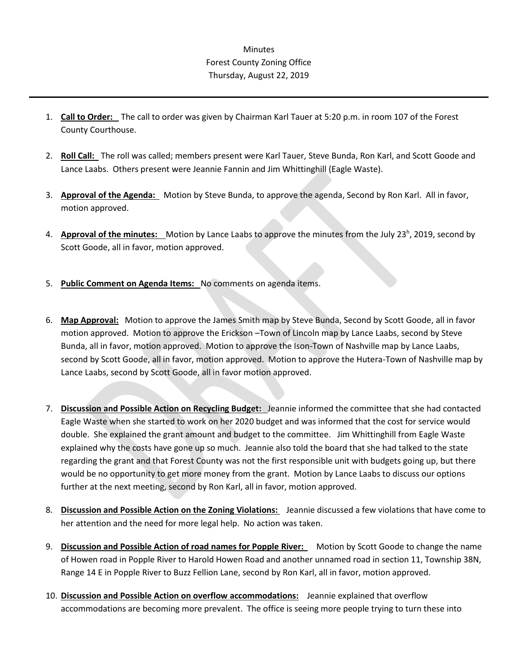## Minutes Forest County Zoning Office Thursday, August 22, 2019

- 1. **Call to Order:** The call to order was given by Chairman Karl Tauer at 5:20 p.m. in room 107 of the Forest County Courthouse.
- 2. **Roll Call:** The roll was called; members present were Karl Tauer, Steve Bunda, Ron Karl, and Scott Goode and Lance Laabs. Others present were Jeannie Fannin and Jim Whittinghill (Eagle Waste).
- 3. **Approval of the Agenda:** Motion by Steve Bunda, to approve the agenda, Second by Ron Karl. All in favor, motion approved.
- 4. **Approval of the minutes:** Motion by Lance Laabs to approve the minutes from the July 23<sup>h</sup>, 2019, second by Scott Goode, all in favor, motion approved.
- 5. **Public Comment on Agenda Items:** No comments on agenda items.
- 6. **Map Approval:** Motion to approve the James Smith map by Steve Bunda, Second by Scott Goode, all in favor motion approved. Motion to approve the Erickson –Town of Lincoln map by Lance Laabs, second by Steve Bunda, all in favor, motion approved. Motion to approve the Ison-Town of Nashville map by Lance Laabs, second by Scott Goode, all in favor, motion approved. Motion to approve the Hutera-Town of Nashville map by Lance Laabs, second by Scott Goode, all in favor motion approved.
- 7. **Discussion and Possible Action on Recycling Budget:** Jeannie informed the committee that she had contacted Eagle Waste when she started to work on her 2020 budget and was informed that the cost for service would double. She explained the grant amount and budget to the committee. Jim Whittinghill from Eagle Waste explained why the costs have gone up so much. Jeannie also told the board that she had talked to the state regarding the grant and that Forest County was not the first responsible unit with budgets going up, but there would be no opportunity to get more money from the grant. Motion by Lance Laabs to discuss our options further at the next meeting, second by Ron Karl, all in favor, motion approved.
- 8. **Discussion and Possible Action on the Zoning Violations:** Jeannie discussed a few violations that have come to her attention and the need for more legal help. No action was taken.
- 9. **Discussion and Possible Action of road names for Popple River:** Motion by Scott Goode to change the name of Howen road in Popple River to Harold Howen Road and another unnamed road in section 11, Township 38N, Range 14 E in Popple River to Buzz Fellion Lane, second by Ron Karl, all in favor, motion approved.
- 10. **Discussion and Possible Action on overflow accommodations:** Jeannie explained that overflow accommodations are becoming more prevalent. The office is seeing more people trying to turn these into